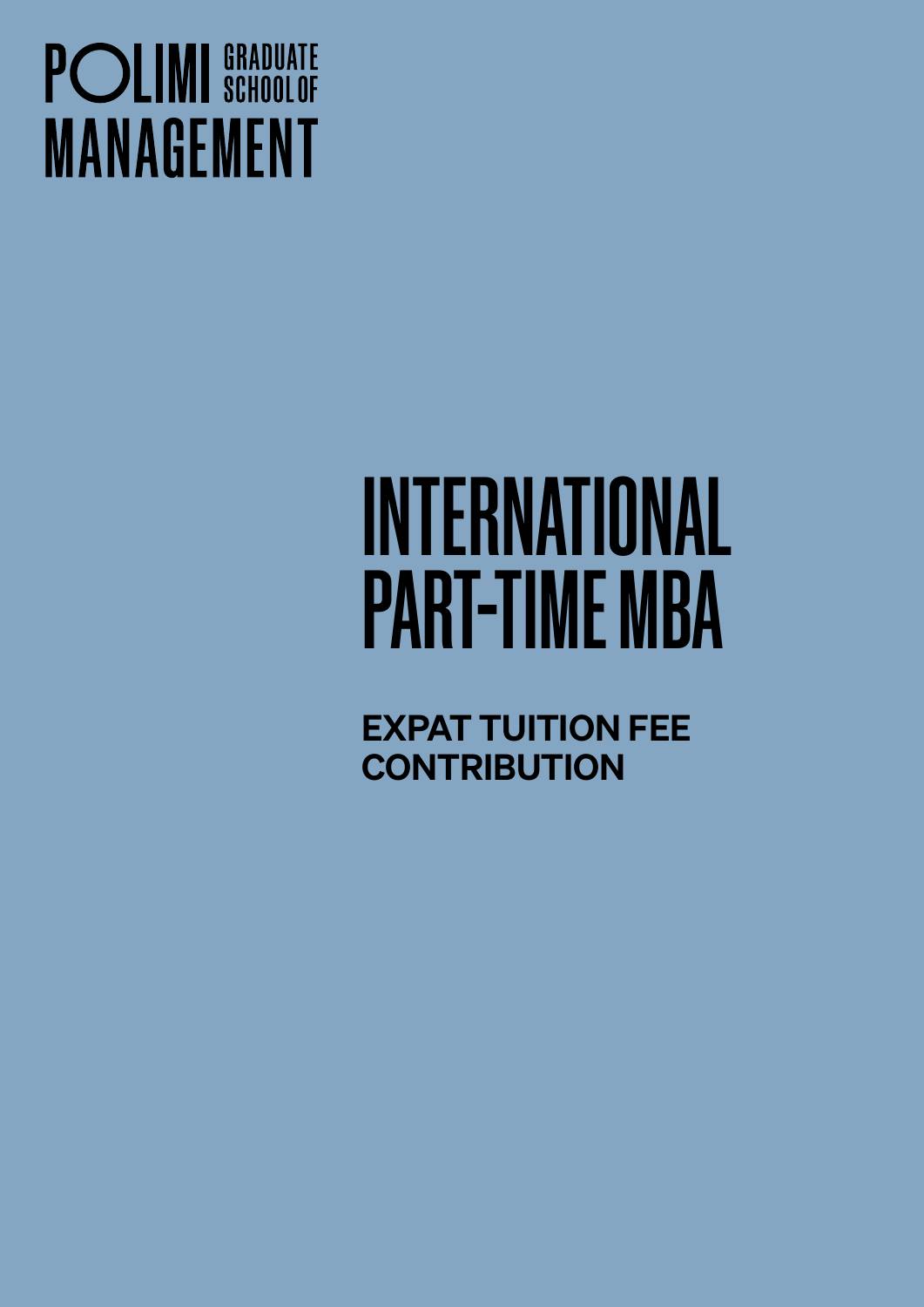## **POLIMI** SCHOOLOF **MANAGEMENT**

# INTERNATIONAL PART-TIME MBA

EXPAT TUITION FEE **CONTRIBUTION**